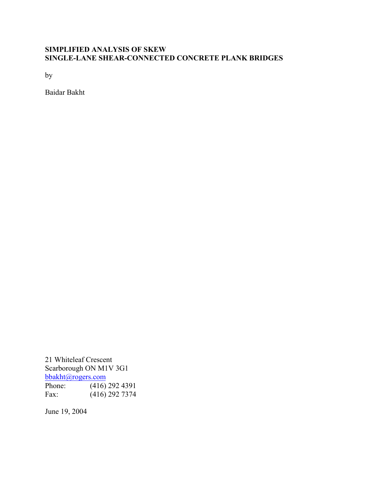# **SIMPLIFIED ANALYSIS OF SKEW SINGLE-LANE SHEAR-CONNECTED CONCRETE PLANK BRIDGES**

by

Baidar Bakht

21 Whiteleaf Crescent Scarborough ON M1V 3G1 bbakht@rogers.com Phone: (416) 292 4391<br>Fax: (416) 292 7374  $(416)$  292 7374

June 19, 2004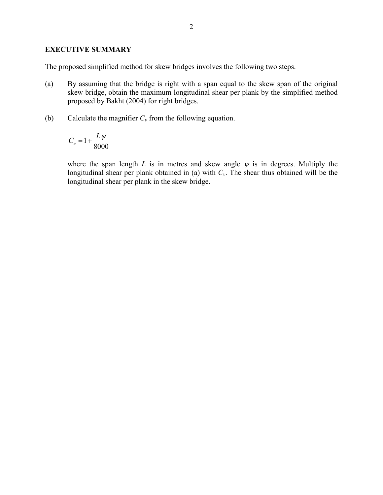### **EXECUTIVE SUMMARY**

The proposed simplified method for skew bridges involves the following two steps.

- (a) By assuming that the bridge is right with a span equal to the skew span of the original skew bridge, obtain the maximum longitudinal shear per plank by the simplified method proposed by Bakht (2004) for right bridges.
- (b) Calculate the magnifier  $C_v$  from the following equation.

$$
C_e = 1 + \frac{L\psi}{8000}
$$

where the span length  $L$  is in metres and skew angle  $\psi$  is in degrees. Multiply the longitudinal shear per plank obtained in (a) with *Cv*. The shear thus obtained will be the longitudinal shear per plank in the skew bridge.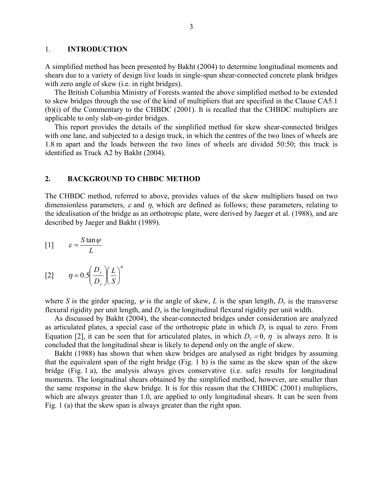#### 1. **INTRODUCTION**

A simplified method has been presented by Bakht (2004) to determine longitudinal moments and shears due to a variety of design live loads in single-span shear-connected concrete plank bridges with zero angle of skew (*i.e.* in right bridges).

 The British Columbia Ministry of Forests wanted the above simplified method to be extended to skew bridges through the use of the kind of multipliers that are specified in the Clause CA5.1 (b)(i) of the Commentary to the CHBDC (2001). It is recalled that the CHBDC multipliers are applicable to only slab-on-girder bridges.

 This report provides the details of the simplified method for skew shear-connected bridges with one lane, and subjected to a design truck, in which the centres of the two lines of wheels are 1.8 m apart and the loads between the two lines of wheels are divided 50:50; this truck is identified as Truck A2 by Bakht (2004).

#### **2. BACKGROUND TO CHBDC METHOD**

The CHBDC method, referred to above, provides values of the skew multipliers based on two dimensionless parameters,  $\varepsilon$  and  $\eta$ , which are defined as follows; these parameters, relating to the idealisation of the bridge as an orthotropic plate, were derived by Jaeger et al. (1988), and are described by Jaeger and Bakht (1989).

$$
[1] \qquad \varepsilon = \frac{S \tan \psi}{L}
$$

$$
[2] \qquad \eta = 0.5 \left(\frac{D_y}{D_x}\right) \left(\frac{L}{S}\right)^4
$$

where *S* is the girder spacing,  $\psi$  is the angle of skew, *L* is the span length,  $D_{\nu}$  is the transverse flexural rigidity per unit length, and  $D_x$  is the longitudinal flexural rigidity per unit width.

 As discussed by Bakht (2004), the shear-connected bridges under consideration are analyzed as articulated plates, a special case of the orthotropic plate in which *Dy* is equal to zero. From Equation [2], it can be seen that for articulated plates, in which  $D_y = 0$ ,  $\eta$  is always zero. It is concluded that the longitudinal shear is likely to depend only on the angle of skew.

 Bakht (1988) has shown that when skew bridges are analysed as right bridges by assuming that the equivalent span of the right bridge (Fig. 1 b) is the same as the skew span of the skew bridge (Fig. 1 a), the analysis always gives conservative (i.e. safe) results for longitudinal moments. The longitudinal shears obtained by the simplified method, however, are smaller than the same response in the skew bridge. It is for this reason that the CHBDC (2001) multipliers, which are always greater than 1.0, are applied to only longitudinal shears. It can be seen from Fig. 1 (a) that the skew span is always greater than the right span.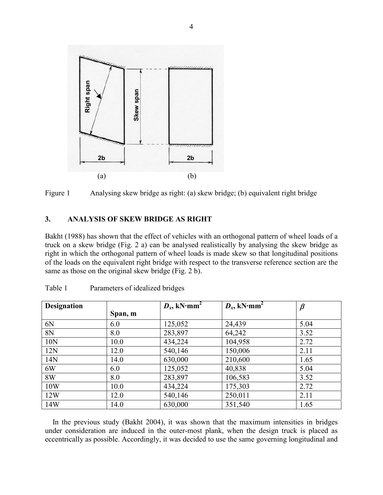



### **3. ANALYSIS OF SKEW BRIDGE AS RIGHT**

Bakht (1988) has shown that the effect of vehicles with an orthogonal pattern of wheel loads of a truck on a skew bridge (Fig. 2 a) can be analysed realistically by analysing the skew bridge as right in which the orthogonal pattern of wheel loads is made skew so that longitudinal positions of the loads on the equivalent right bridge with respect to the transverse reference section are the same as those on the original skew bridge (Fig. 2 b).

| <b>Designation</b> |         | $D_x$ , kN·mm <sup>2</sup> | $D_{x}$ , kN·mm <sup>2</sup> | $\beta$ |
|--------------------|---------|----------------------------|------------------------------|---------|
|                    | Span, m |                            |                              |         |
| 6N                 | 6.0     | 125,052                    | 24,439                       | 5.04    |
| 8N                 | 8.0     | 283,897                    | 64,242                       | 3.52    |
| 10 <sub>N</sub>    | 10.0    | 434,224                    | 104,958                      | 2.72    |
| 12N                | 12.0    | 540,146                    | 150,006                      | 2.11    |
| 14N                | 14.0    | 630,000                    | 210,600                      | 1.65    |
| 6W                 | 6.0     | 125,052                    | 40,838                       | 5.04    |
| 8W                 | 8.0     | 283,897                    | 106,583                      | 3.52    |
| 10W                | 10.0    | 434,224                    | 175,303                      | 2.72    |
| 12W                | 12.0    | 540,146                    | 250,011                      | 2.11    |
| 14W                | 14.0    | 630,000                    | 351,540                      | 1.65    |

| Table 1 | Parameters of idealized bridges |  |
|---------|---------------------------------|--|
|         |                                 |  |

 In the previous study (Bakht 2004), it was shown that the maximum intensities in bridges under consideration are induced in the outer-most plank, when the design truck is placed as eccentrically as possible. Accordingly, it was decided to use the same governing longitudinal and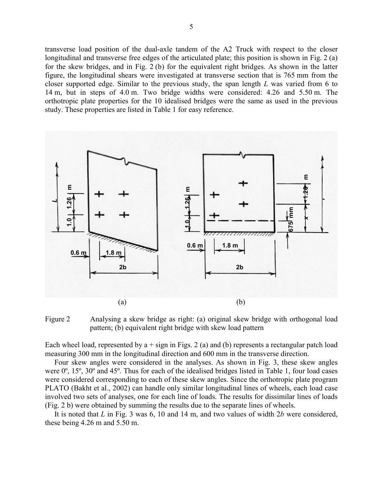transverse load position of the dual-axle tandem of the A2 Truck with respect to the closer longitudinal and transverse free edges of the articulated plate; this position is shown in Fig. 2 (a) for the skew bridges, and in Fig. 2 (b) for the equivalent right bridges. As shown in the latter figure, the longitudinal shears were investigated at transverse section that is 765 mm from the closer supported edge. Similar to the previous study, the span length *L* was varied from 6 to 14 m, but in steps of 4.0 m. Two bridge widths were considered: 4.26 and 5.50 m. The orthotropic plate properties for the 10 idealised bridges were the same as used in the previous study. These properties are listed in Table 1 for easy reference.



Figure 2 Analysing a skew bridge as right: (a) original skew bridge with orthogonal load pattern; (b) equivalent right bridge with skew load pattern

Each wheel load, represented by  $a + sign$  in Figs. 2 (a) and (b) represents a rectangular patch load measuring 300 mm in the longitudinal direction and 600 mm in the transverse direction.

 Four skew angles were considered in the analyses. As shown in Fig. 3, these skew angles were  $0^{\circ}$ , 15<sup>°</sup>, 30<sup>°</sup> and 45<sup>°</sup>. Thus for each of the idealised bridges listed in Table 1, four load cases were considered corresponding to each of these skew angles. Since the orthotropic plate program PLATO (Bakht et al., 2002) can handle only similar longitudinal lines of wheels, each load case involved two sets of analyses, one for each line of loads. The results for dissimilar lines of loads (Fig. 2 b) were obtained by summing the results due to the separate lines of wheels.

 It is noted that *L* in Fig. 3 was 6, 10 and 14 m, and two values of width 2*b* were considered, these being 4.26 m and 5.50 m.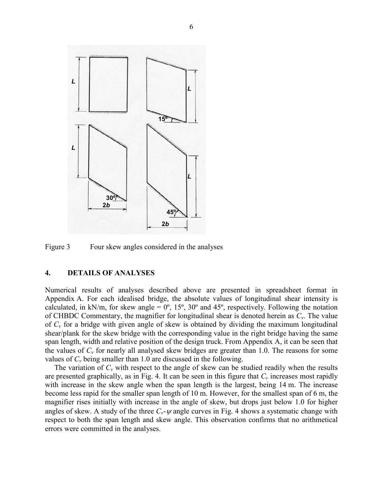

Figure 3 Four skew angles considered in the analyses

#### **4. DETAILS OF ANALYSES**

Numerical results of analyses described above are presented in spreadsheet format in Appendix A. For each idealised bridge, the absolute values of longitudinal shear intensity is calculated, in kN/m, for skew angle =  $0^\circ$ , 15°, 30° and 45°, respectively. Following the notation of CHBDC Commentary, the magnifier for longitudinal shear is denoted herein as *Cv*. The value of *Cv* for a bridge with given angle of skew is obtained by dividing the maximum longitudinal shear/plank for the skew bridge with the corresponding value in the right bridge having the same span length, width and relative position of the design truck. From Appendix A, it can be seen that the values of  $C_v$  for nearly all analysed skew bridges are greater than 1.0. The reasons for some values of  $C_v$  being smaller than 1.0 are discussed in the following.

The variation of  $C_v$  with respect to the angle of skew can be studied readily when the results are presented graphically, as in Fig. 4. It can be seen in this figure that  $C_v$  increases most rapidly with increase in the skew angle when the span length is the largest, being 14 m. The increase become less rapid for the smaller span length of 10 m. However, for the smallest span of 6 m, the magnifier rises initially with increase in the angle of skew, but drops just below 1.0 for higher angles of skew. A study of the three  $C_v$ -  $\psi$  angle curves in Fig. 4 shows a systematic change with respect to both the span length and skew angle. This observation confirms that no arithmetical errors were committed in the analyses.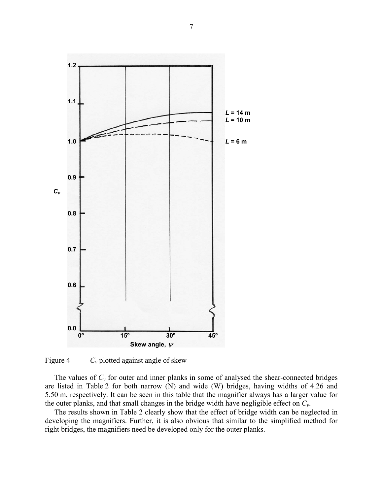

Figure 4  $C_v$  plotted against angle of skew

The values of  $C_v$  for outer and inner planks in some of analysed the shear-connected bridges are listed in Table 2 for both narrow (N) and wide (W) bridges, having widths of 4.26 and 5.50 m, respectively. It can be seen in this table that the magnifier always has a larger value for the outer planks, and that small changes in the bridge width have negligible effect on *Cv*.

 The results shown in Table 2 clearly show that the effect of bridge width can be neglected in developing the magnifiers. Further, it is also obvious that similar to the simplified method for right bridges, the magnifiers need be developed only for the outer planks.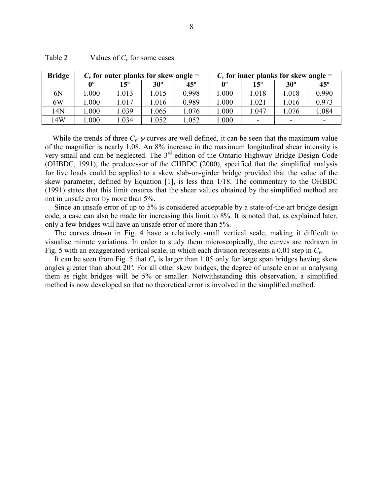| <b>Bridge</b> | $C_v$ for outer planks for skew angle = |              |            | $C_v$ for inner planks for skew angle = |             |              |            |                          |
|---------------|-----------------------------------------|--------------|------------|-----------------------------------------|-------------|--------------|------------|--------------------------|
|               | ሰ∘                                      | $15^{\circ}$ | $30^\circ$ | $45^\circ$                              | $0^{\circ}$ | $15^{\circ}$ | $30^\circ$ | $45^\circ$               |
| 6N            | .000                                    | 1.013        | 1.015      | 0.998                                   | 000.        | 1.018        | 1.018      | 0.990                    |
| 6W            | .000                                    | 1.017        | 1.016      | 0.989                                   | 000.1       | 1.021        | 1.016      | 0.973                    |
| 14N           | .000                                    | 1.039        | 1.065      | 1.076                                   | 000.        | 1.047        | 1.076      | 1.084                    |
| 14W           | .000                                    | 1.034        | 1.052      | 1.052                                   | .000        |              | -          | $\overline{\phantom{0}}$ |

| Table 2 | Values of $C_v$ for some cases |  |
|---------|--------------------------------|--|
|         |                                |  |

While the trends of three  $C_v$ - $\psi$  curves are well defined, it can be seen that the maximum value of the magnifier is nearly 1.08. An 8% increase in the maximum longitudinal shear intensity is very small and can be neglected. The 3rd edition of the Ontario Highway Bridge Design Code (OHBDC, 1991), the predecessor of the CHBDC (2000), specified that the simplified analysis for live loads could be applied to a skew slab-on-girder bridge provided that the value of the skew parameter, defined by Equation [1], is less than 1/18. The commentary to the OHBDC (1991) states that this limit ensures that the shear values obtained by the simplified method are not in unsafe error by more than 5%.

 Since an unsafe error of up to 5% is considered acceptable by a state-of-the-art bridge design code, a case can also be made for increasing this limit to 8%. It is noted that, as explained later, only a few bridges will have an unsafe error of more than 5%.

 The curves drawn in Fig. 4 have a relatively small vertical scale, making it difficult to visualise minute variations. In order to study them microscopically, the curves are redrawn in Fig. 5 with an exaggerated vertical scale, in which each division represents a 0.01 step in *Cv*.

It can be seen from Fig. 5 that  $C_v$  is larger than 1.05 only for large span bridges having skew angles greater than about 20º. For all other skew bridges, the degree of unsafe error in analysing them as right bridges will be 5% or smaller. Notwithstanding this observation, a simplified method is now developed so that no theoretical error is involved in the simplified method.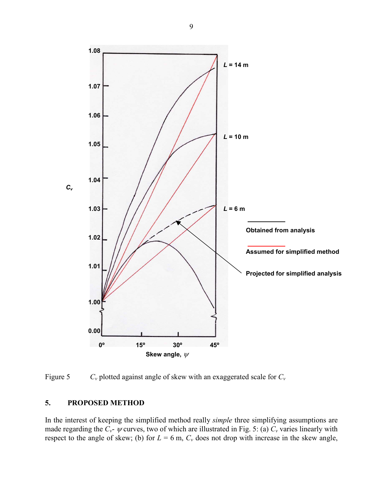

Figure 5 *Cv* plotted against angle of skew with an exaggerated scale for *Cv*

### **5. PROPOSED METHOD**

In the interest of keeping the simplified method really *simple* three simplifying assumptions are made regarding the  $C_v$ -  $\psi$  curves, two of which are illustrated in Fig. 5: (a)  $C_v$  varies linearly with respect to the angle of skew; (b) for  $L = 6$  m,  $C_v$  does not drop with increase in the skew angle,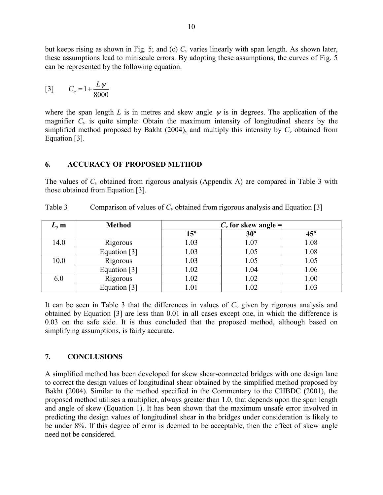but keeps rising as shown in Fig. 5; and (c)  $C_v$  varies linearly with span length. As shown later, these assumptions lead to miniscule errors. By adopting these assumptions, the curves of Fig. 5 can be represented by the following equation.

$$
[3] \qquad C_e = 1 + \frac{L\psi}{8000}
$$

where the span length *L* is in metres and skew angle  $\psi$  is in degrees. The application of the magnifier  $C_v$  is quite simple: Obtain the maximum intensity of longitudinal shears by the simplified method proposed by Bakht (2004), and multiply this intensity by  $C_v$  obtained from Equation [3].

### **6. ACCURACY OF PROPOSED METHOD**

The values of  $C_v$  obtained from rigorous analysis (Appendix A) are compared in Table 3 with those obtained from Equation [3].

| L, m | <b>Method</b> | $C_v$ for skew angle = |            |              |
|------|---------------|------------------------|------------|--------------|
|      |               | $15^{\circ}$           | $30^\circ$ | $45^{\circ}$ |
| 14.0 | Rigorous      | 1.03                   | 1.07       | 1.08         |
|      | Equation [3]  | 1.03                   | 1.05       | 1.08         |
| 10.0 | Rigorous      | 1.03                   | 1.05       | 1.05         |
|      | Equation [3]  | 1.02                   | 1.04       | 1.06         |
| 6.0  | Rigorous      | 1.02                   | 1.02       | 1.00         |
|      | Equation [3]  |                        | 1.02       | 1.03         |

Table 3 Comparison of values of  $C_v$  obtained from rigorous analysis and Equation [3]

It can be seen in Table 3 that the differences in values of  $C_v$  given by rigorous analysis and obtained by Equation [3] are less than 0.01 in all cases except one, in which the difference is 0.03 on the safe side. It is thus concluded that the proposed method, although based on simplifying assumptions, is fairly accurate.

## **7. CONCLUSIONS**

A simplified method has been developed for skew shear-connected bridges with one design lane to correct the design values of longitudinal shear obtained by the simplified method proposed by Bakht (2004). Similar to the method specified in the Commentary to the CHBDC (2001), the proposed method utilises a multiplier, always greater than 1.0, that depends upon the span length and angle of skew (Equation 1). It has been shown that the maximum unsafe error involved in predicting the design values of longitudinal shear in the bridges under consideration is likely to be under 8%. If this degree of error is deemed to be acceptable, then the effect of skew angle need not be considered.